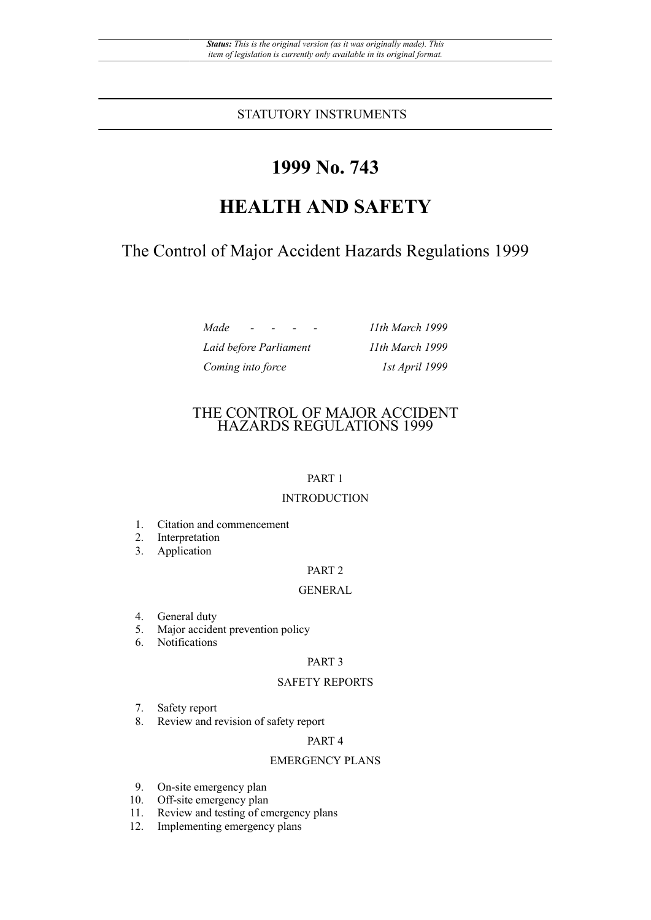STATUTORY INSTRUMENTS

# **1999 No. 743**

# **HEALTH AND SAFETY**

The Control of Major Accident Hazards Regulations 1999

| Made<br>$\overline{\phantom{0}}$ | 11th March 1999 |
|----------------------------------|-----------------|
| Laid before Parliament           | 11th March 1999 |
| Coming into force                | 1st April 1999  |

# THE CONTROL OF MAJOR ACCIDENT HAZARDS REGULATIONS 1999

## PART 1

# INTRODUCTION

- 1. Citation and commencement
- 2. Interpretation
- 3. Application

## PART 2

## GENERAL

- 4. General duty<br>5. Maior accide
- Major accident prevention policy
- 6. Notifications

## PART 3

## SAFETY REPORTS

- 7. Safety report
- 8. Review and revision of safety report

## PART 4

## EMERGENCY PLANS

- 9. On-site emergency plan
- 10. Off-site emergency plan
- 11. Review and testing of emergency plans
- 12. Implementing emergency plans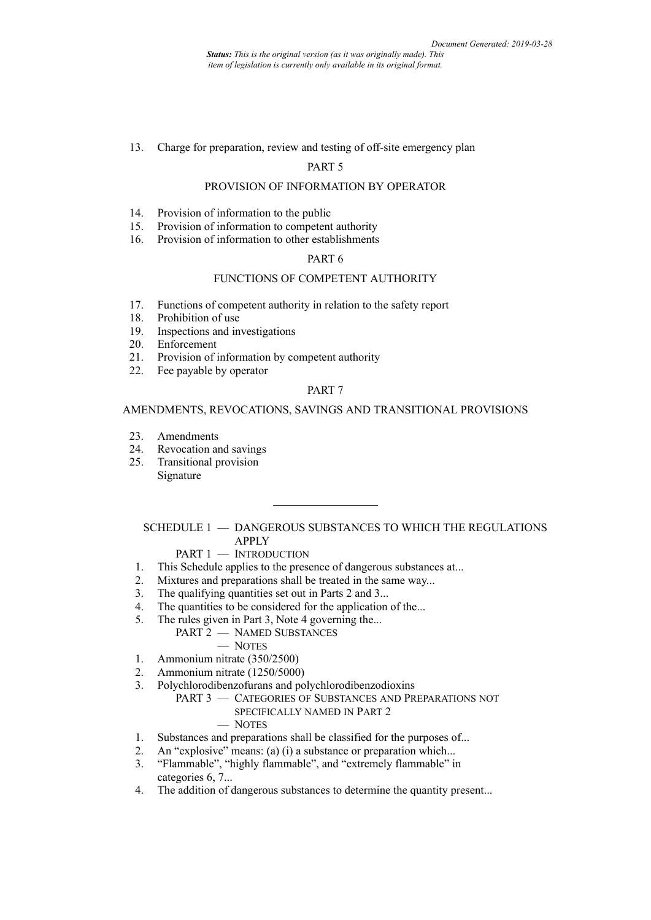*Status: This is the original version (as it was originally made). This item of legislation is currently only available in its original format.*

13. Charge for preparation, review and testing of off-site emergency plan

#### PART 5

## PROVISION OF INFORMATION BY OPERATOR

- 14. Provision of information to the public
- 15. Provision of information to competent authority
- 16. Provision of information to other establishments

## PART 6

#### FUNCTIONS OF COMPETENT AUTHORITY

- 17. Functions of competent authority in relation to the safety report 18. Prohibition of use
- Prohibition of use
- 19. Inspections and investigations
- 20. Enforcement<br>21. Provision of i
- Provision of information by competent authority
- 22. Fee payable by operator

## PART 7

#### AMENDMENTS, REVOCATIONS, SAVINGS AND TRANSITIONAL PROVISIONS

- 23. Amendments<br>24 Revocation and
- Revocation and savings
- 25. Transitional provision Signature

SCHEDULE 1 — DANGEROUS SUBSTANCES TO WHICH THE REGULATIONS APPLY

# PART 1 - INTRODUCTION

- 1. This Schedule applies to the presence of dangerous substances at...
- 2. Mixtures and preparations shall be treated in the same way...
- 3. The qualifying quantities set out in Parts 2 and 3...
- 4. The quantities to be considered for the application of the...
- 5. The rules given in Part 3, Note 4 governing the...
	- PART 2 NAMED SUBSTANCES
		- NOTES
- 1. Ammonium nitrate (350/2500)
- 2. Ammonium nitrate (1250/5000)
- 3. Polychlorodibenzofurans and polychlorodibenzodioxins
	- PART 3 CATEGORIES OF SUBSTANCES AND PREPARATIONS NOT SPECIFICALLY NAMED IN PART 2

#### — NOTES

- 1. Substances and preparations shall be classified for the purposes of...
- 2. An "explosive" means: (a) (i) a substance or preparation which...
- 3. "Flammable", "highly flammable", and "extremely flammable" in categories 6, 7...
- 4. The addition of dangerous substances to determine the quantity present...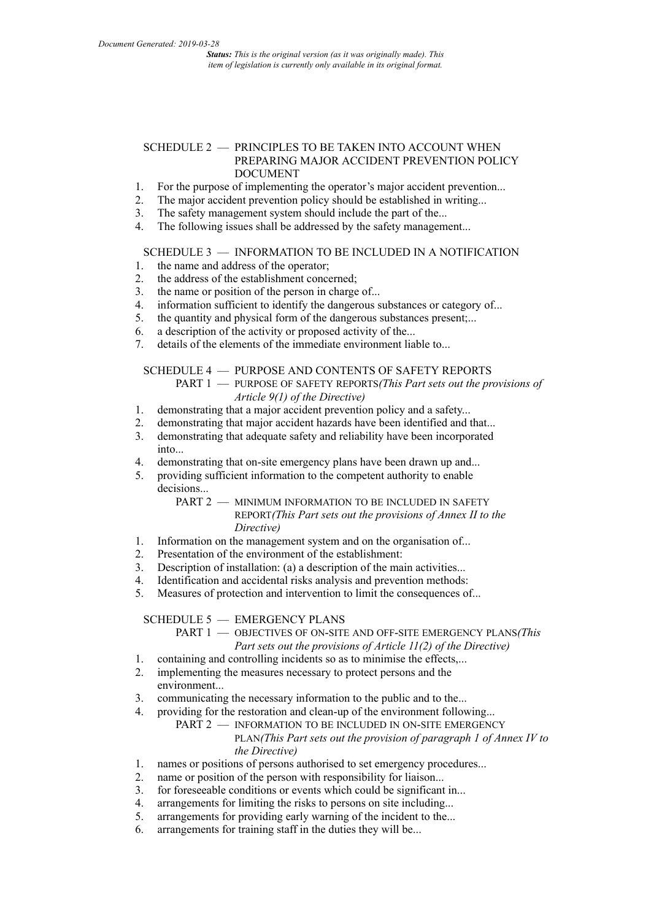## SCHEDULE 2 - PRINCIPLES TO BE TAKEN INTO ACCOUNT WHEN PREPARING MAJOR ACCIDENT PREVENTION POLICY DOCUMENT

- 1. For the purpose of implementing the operator's major accident prevention...
- 2. The major accident prevention policy should be established in writing...<br>3. The safety management system should include the part of the...
- 3. The safety management system should include the part of the...<br>4 The following issues shall be addressed by the safety managem
- The following issues shall be addressed by the safety management...

# SCHEDULE 3 — INFORMATION TO BE INCLUDED IN A NOTIFICATION

- 1. the name and address of the operator;
- 2. the address of the establishment concerned;
- 3. the name or position of the person in charge of...<br>4. information sufficient to identify the dangerous s
- information sufficient to identify the dangerous substances or category of...
- 5. the quantity and physical form of the dangerous substances present;...
- 6. a description of the activity or proposed activity of the...
- 7. details of the elements of the immediate environment liable to...

### SCHEDULE 4 — PURPOSE AND CONTENTS OF SAFETY REPORTS

PART 1 — PURPOSE OF SAFETY REPORTS*(This Part sets out the provisions of Article 9(1) of the Directive)*

- 1. demonstrating that a major accident prevention policy and a safety...
- 2. demonstrating that major accident hazards have been identified and that...<br>3. demonstrating that adequate safety and reliability have been incorporated
- 3. demonstrating that adequate safety and reliability have been incorporated into...
- 4. demonstrating that on-site emergency plans have been drawn up and...
- 5. providing sufficient information to the competent authority to enable decisions.

## PART 2 - MINIMUM INFORMATION TO BE INCLUDED IN SAFETY REPORT*(This Part sets out the provisions of Annex II to the Directive)*

- 1. Information on the management system and on the organisation of...
- 2. Presentation of the environment of the establishment:
- 3. Description of installation: (a) a description of the main activities...
- 4. Identification and accidental risks analysis and prevention methods:
- 5. Measures of protection and intervention to limit the consequences of...

SCHEDULE 5 — EMERGENCY PLANS

## PART 1 — OBJECTIVES OF ON-SITE AND OFF-SITE EMERGENCY PLANS*(This Part sets out the provisions of Article 11(2) of the Directive)*

- 1. containing and controlling incidents so as to minimise the effects,...
- 2. implementing the measures necessary to protect persons and the environment...
- 3. communicating the necessary information to the public and to the...<br>4. providing for the restoration and clean-up of the environment follow
- 4. providing for the restoration and clean-up of the environment following...
	- PART 2 INFORMATION TO BE INCLUDED IN ON-SITE EMERGENCY PLAN*(This Part sets out the provision of paragraph 1 of Annex IV to the Directive)*
- 1. names or positions of persons authorised to set emergency procedures...
- 2. name or position of the person with responsibility for liaison...
- 3. for foreseeable conditions or events which could be significant in...
- 4. arrangements for limiting the risks to persons on site including...
- 5. arrangements for providing early warning of the incident to the...
- 6. arrangements for training staff in the duties they will be...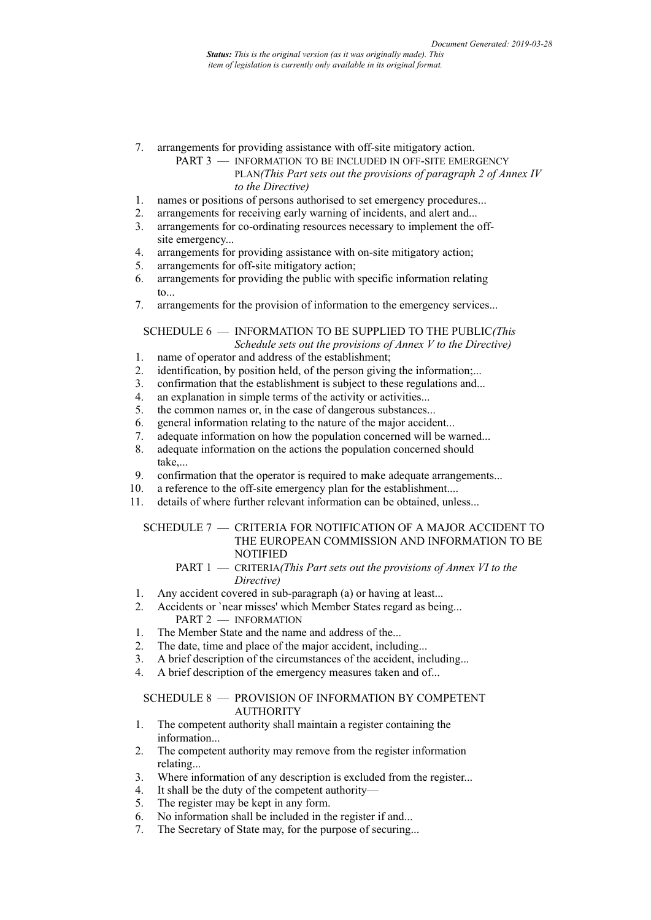- 7. arrangements for providing assistance with off-site mitigatory action.
	- PART 3 INFORMATION TO BE INCLUDED IN OFF-SITE EMERGENCY PLAN*(This Part sets out the provisions of paragraph 2 of Annex IV to the Directive)*
- 1. names or positions of persons authorised to set emergency procedures...
- 2. arrangements for receiving early warning of incidents, and alert and...<br>3. arrangements for co-ordinating resources necessary to implement the
- arrangements for co-ordinating resources necessary to implement the offsite emergency...
- 4. arrangements for providing assistance with on-site mitigatory action;
- 5. arrangements for off-site mitigatory action;
- 6. arrangements for providing the public with specific information relating to...
- 7. arrangements for the provision of information to the emergency services...

SCHEDULE 6 — INFORMATION TO BE SUPPLIED TO THE PUBLIC*(This Schedule sets out the provisions of Annex V to the Directive)*

- 1. name of operator and address of the establishment;
- 2. identification, by position held, of the person giving the information;...
- 3. confirmation that the establishment is subject to these regulations and...
- 4. an explanation in simple terms of the activity or activities...
- 5. the common names or, in the case of dangerous substances...
- 6. general information relating to the nature of the major accident...
- 7. adequate information on how the population concerned will be warned...<br>8. adequate information on the actions the population concerned should
- adequate information on the actions the population concerned should take,...
- 9. confirmation that the operator is required to make adequate arrangements...
- 10. a reference to the off-site emergency plan for the establishment....
- 11. details of where further relevant information can be obtained, unless...

## SCHEDULE 7 — CRITERIA FOR NOTIFICATION OF A MAJOR ACCIDENT TO THE EUROPEAN COMMISSION AND INFORMATION TO BE **NOTIFIED**

- PART 1 CRITERIA*(This Part sets out the provisions of Annex VI to the Directive)*
- 1. Any accident covered in sub-paragraph (a) or having at least...
- 2. Accidents or `near misses' which Member States regard as being... PART 2 - INFORMATION
- 1. The Member State and the name and address of the...
- 2. The date, time and place of the major accident, including...
- 3. A brief description of the circumstances of the accident, including...
- 4. A brief description of the emergency measures taken and of...

## SCHEDULE 8 — PROVISION OF INFORMATION BY COMPETENT AUTHORITY

- 1. The competent authority shall maintain a register containing the information...
- 2. The competent authority may remove from the register information relating...
- 3. Where information of any description is excluded from the register...
- 4. It shall be the duty of the competent authority—
- 5. The register may be kept in any form.
- 6. No information shall be included in the register if and...
- 7. The Secretary of State may, for the purpose of securing...